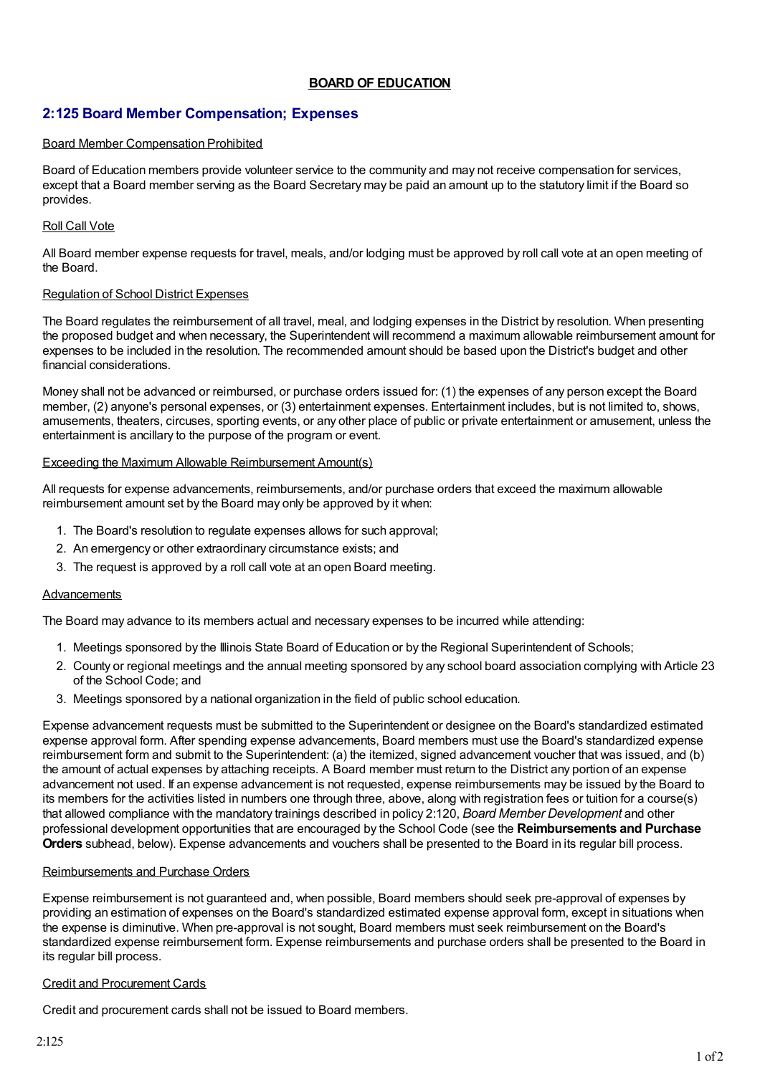# **BOARD OF EDUCATION**

# **2:125 Board Member Compensation; Expenses**

#### Board Member Compensation Prohibited

Board of Education members provide volunteer service to the community and may not receive compensation for services, except that a Board member serving as the Board Secretary may be paid an amount up to the statutory limit if the Board so provides.

#### Roll Call Vote

All Board member expense requests for travel, meals, and/or lodging must be approved by roll call vote at an open meeting of the Board.

#### Regulation of School District Expenses

The Board regulates the reimbursement of all travel, meal, and lodging expenses in the District by resolution. When presenting the proposed budget and when necessary, the Superintendent will recommend a maximum allowable reimbursement amount for expenses to be included in the resolution. The recommended amount should be based upon the District's budget and other financial considerations.

Money shall not be advanced or reimbursed, or purchase orders issued for: (1) the expenses of any person except the Board member, (2) anyone's personal expenses, or (3) entertainment expenses. Entertainment includes, but is not limited to, shows, amusements, theaters, circuses, sporting events, or any other place of public or private entertainment or amusement, unless the entertainment is ancillary to the purpose of the program or event.

#### Exceeding the Maximum Allowable Reimbursement Amount(s)

All requests for expense advancements, reimbursements, and/or purchase orders that exceed the maximum allowable reimbursement amount set by the Board may only be approved by it when:

- 1. The Board's resolution to regulate expenses allows for such approval;
- 2. An emergency or other extraordinary circumstance exists; and
- 3. The request is approved by a roll call vote at an open Board meeting.

#### Advancements

The Board may advance to its members actual and necessary expenses to be incurred while attending:

- 1. Meetings sponsored by the Illinois State Board of Education or by the Regional Superintendent of Schools;
- 2. County or regional meetings and the annual meeting sponsored by any school board association complying with Article 23 of the School Code; and
- 3. Meetings sponsored by a national organization in the field of public school education.

Expense advancement requests must be submitted to the Superintendent or designee on the Board's standardized estimated expense approval form. After spending expense advancements, Board members must use the Board's standardized expense reimbursement form and submit to the Superintendent: (a) the itemized, signed advancement voucher that was issued, and (b) the amount of actual expenses by attaching receipts. A Board member must return to the District any portion of an expense advancement not used. If an expense advancement is not requested, expense reimbursements may be issued by the Board to its members for the activities listed in numbers one through three, above, along with registration fees or tuition for a course(s) that allowed compliance with the mandatory trainings described in policy 2:120, *Board Member Development* and other professional development opportunities that are encouraged by the School Code (see the **Reimbursements and Purchase Orders** subhead, below). Expense advancements and vouchers shall be presented to the Board in its regular bill process.

### Reimbursements and Purchase Orders

Expense reimbursement is not guaranteed and, when possible, Board members should seek pre-approval of expenses by providing an estimation of expenses on the Board's standardized estimated expense approval form, except in situations when the expense is diminutive. When pre-approval is not sought, Board members must seek reimbursement on the Board's standardized expense reimbursement form. Expense reimbursements and purchase orders shall be presented to the Board in its regular bill process.

### Credit and Procurement Cards

Credit and procurement cards shall not be issued to Board members.